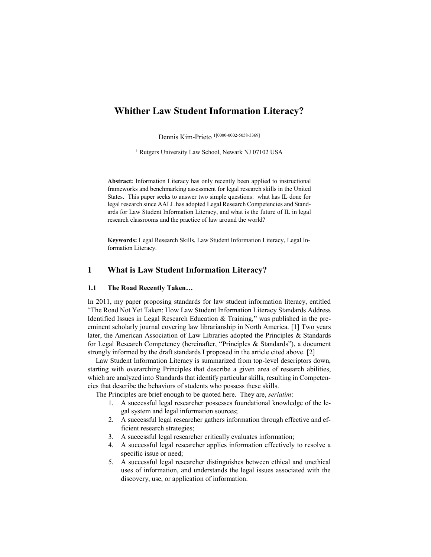# **Whither Law Student Information Literacy?**

Dennis Kim-Prieto 1[0000-0002-5058-3369]

<sup>1</sup> Rutgers University Law School, Newark NJ 07102 USA

**Abstract:** Information Literacy has only recently been applied to instructional frameworks and benchmarking assessment for legal research skills in the United States. This paper seeks to answer two simple questions: what has IL done for legal research since AALL has adopted Legal Research Competencies and Standards for Law Student Information Literacy, and what is the future of IL in legal research classrooms and the practice of law around the world?

**Keywords:** Legal Research Skills, Law Student Information Literacy, Legal Information Literacy.

## **1 What is Law Student Information Literacy?**

### **1.1** The Road Recently Taken...

In 2011, my paper proposing standards for law student information literacy, entitled "The Road Not Yet Taken: How Law Student Information Literacy Standards Address Identified Issues in Legal Research Education  $\&$  Training," was published in the preeminent scholarly journal covering law librarianship in North America. [1] Two years later, the American Association of Law Libraries adopted the Principles & Standards for Legal Research Competency (hereinafter, "Principles & Standards"), a document strongly informed by the draft standards I proposed in the article cited above. [2]

Law Student Information Literacy is summarized from top-level descriptors down, starting with overarching Principles that describe a given area of research abilities, which are analyzed into Standards that identify particular skills, resulting in Competencies that describe the behaviors of students who possess these skills.

The Principles are brief enough to be quoted here. They are, *seriatim*:

- 1. A successful legal researcher possesses foundational knowledge of the legal system and legal information sources;
- 2. A successful legal researcher gathers information through effective and efficient research strategies;
- 3. A successful legal researcher critically evaluates information;
- 4. A successful legal researcher applies information effectively to resolve a specific issue or need;
- 5. A successful legal researcher distinguishes between ethical and unethical uses of information, and understands the legal issues associated with the discovery, use, or application of information.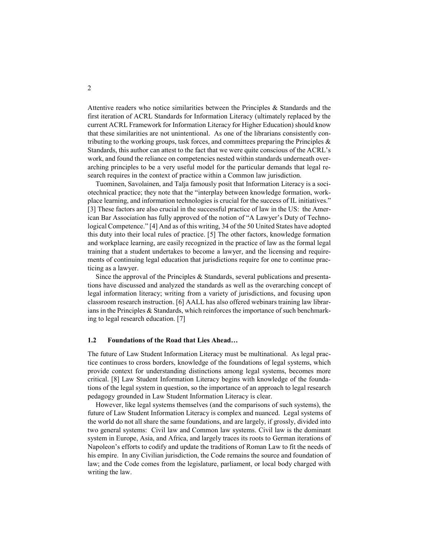Attentive readers who notice similarities between the Principles & Standards and the first iteration of ACRL Standards for Information Literacy (ultimately replaced by the current ACRL Framework for Information Literacy for Higher Education) should know that these similarities are not unintentional. As one of the librarians consistently contributing to the working groups, task forces, and committees preparing the Principles  $\&$ Standards, this author can attest to the fact that we were quite conscious of the ACRL's work, and found the reliance on competencies nested within standards underneath overarching principles to be a very useful model for the particular demands that legal research requires in the context of practice within a Common law jurisdiction.

Tuominen, Savolainen, and Talja famously posit that Information Literacy is a sociotechnical practice; they note that the "interplay between knowledge formation, workplace learning, and information technologies is crucial for the success of IL initiatives." [3] These factors are also crucial in the successful practice of law in the US: the American Bar Association has fully approved of the notion of "A Lawyer's Duty of Technological Competence." [4] And as of this writing, 34 of the 50 United States have adopted this duty into their local rules of practice. [5] The other factors, knowledge formation and workplace learning, are easily recognized in the practice of law as the formal legal training that a student undertakes to become a lawyer, and the licensing and requirements of continuing legal education that jurisdictions require for one to continue practicing as a lawyer.

Since the approval of the Principles & Standards, several publications and presentations have discussed and analyzed the standards as well as the overarching concept of legal information literacy; writing from a variety of jurisdictions, and focusing upon classroom research instruction. [6] AALL has also offered webinars training law librarians in the Principles  $\&$  Standards, which reinforces the importance of such benchmarking to legal research education. [7]

#### $1.2$ Foundations of the Road that Lies Ahead...

The future of Law Student Information Literacy must be multinational. As legal practice continues to cross borders, knowledge of the foundations of legal systems, which provide context for understanding distinctions among legal systems, becomes more critical. [8] Law Student Information Literacy begins with knowledge of the foundations of the legal system in question, so the importance of an approach to legal research pedagogy grounded in Law Student Information Literacy is clear.

However, like legal systems themselves (and the comparisons of such systems), the future of Law Student Information Literacy is complex and nuanced. Legal systems of the world do not all share the same foundations, and are largely, if grossly, divided into two general systems: Civil law and Common law systems. Civil law is the dominant system in Europe, Asia, and Africa, and largely traces its roots to German iterations of Napoleon's efforts to codify and update the traditions of Roman Law to fit the needs of his empire. In any Civilian jurisdiction, the Code remains the source and foundation of law; and the Code comes from the legislature, parliament, or local body charged with writing the law.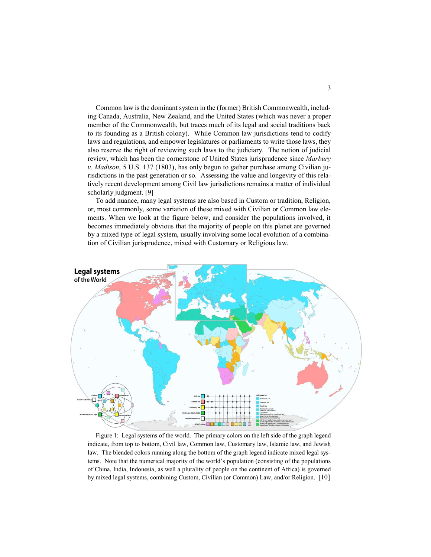Common law is the dominant system in the (former) British Commonwealth, including Canada, Australia, New Zealand, and the United States (which was never a proper member of the Commonwealth, but traces much of its legal and social traditions back to its founding as a British colony). While Common law jurisdictions tend to codify laws and regulations, and empower legislatures or parliaments to write those laws, they also reserve the right of reviewing such laws to the judiciary. The notion of judicial review, which has been the cornerstone of United States jurisprudence since *Marbury v. Madison*, 5 U.S. 137 (1803), has only begun to gather purchase among Civilian jurisdictions in the past generation or so. Assessing the value and longevity of this relatively recent development among Civil law jurisdictions remains a matter of individual scholarly judgment. [9]

To add nuance, many legal systems are also based in Custom or tradition, Religion, or, most commonly, some variation of these mixed with Civilian or Common law elements. When we look at the figure below, and consider the populations involved, it becomes immediately obvious that the majority of people on this planet are governed by a mixed type of legal system, usually involving some local evolution of a combination of Civilian jurisprudence, mixed with Customary or Religious law.



Figure 1: Legal systems of the world. The primary colors on the left side of the graph legend indicate, from top to bottom, Civil law, Common law, Customary law, Islamic law, and Jewish law. The blended colors running along the bottom of the graph legend indicate mixed legal systems. Note that the numerical majority of the world's population (consisting of the populations of China, India, Indonesia, as well a plurality of people on the continent of Africa) is governed by mixed legal systems, combining Custom, Civilian (or Common) Law, and/or Religion. [10]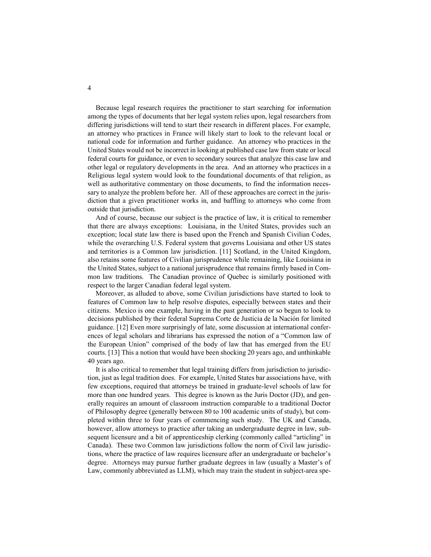Because legal research requires the practitioner to start searching for information among the types of documents that her legal system relies upon, legal researchers from differing jurisdictions will tend to start their research in different places. For example, an attorney who practices in France will likely start to look to the relevant local or national code for information and further guidance. An attorney who practices in the United States would not be incorrect in looking at published case law from state or local federal courts for guidance, or even to secondary sources that analyze this case law and other legal or regulatory developments in the area. And an attorney who practices in a Religious legal system would look to the foundational documents of that religion, as well as authoritative commentary on those documents, to find the information necessary to analyze the problem before her. All of these approaches are correct in the jurisdiction that a given practitioner works in, and baffling to attorneys who come from outside that jurisdiction.

And of course, because our subject is the practice of law, it is critical to remember that there are always exceptions: Louisiana, in the United States, provides such an exception; local state law there is based upon the French and Spanish Civilian Codes, while the overarching U.S. Federal system that governs Louisiana and other US states and territories is a Common law jurisdiction. [11] Scotland, in the United Kingdom, also retains some features of Civilian jurisprudence while remaining, like Louisiana in the United States, subject to a national jurisprudence that remains firmly based in Common law traditions. The Canadian province of Quebec is similarly positioned with respect to the larger Canadian federal legal system.

Moreover, as alluded to above, some Civilian jurisdictions have started to look to features of Common law to help resolve disputes, especially between states and their citizens. Mexico is one example, having in the past generation or so begun to look to decisions published by their federal Suprema Corte de Justicia de la Nación for limited guidance. [12] Even more surprisingly of late, some discussion at international conferences of legal scholars and librarians has expressed the notion of a "Common law of the European Union" comprised of the body of law that has emerged from the EU courts. [13] This a notion that would have been shocking 20 years ago, and unthinkable 40 years ago.

It is also critical to remember that legal training differs from jurisdiction to jurisdiction, just as legal tradition does. For example, United States bar associations have, with few exceptions, required that attorneys be trained in graduate-level schools of law for more than one hundred years. This degree is known as the Juris Doctor (JD), and generally requires an amount of classroom instruction comparable to a traditional Doctor of Philosophy degree (generally between 80 to 100 academic units of study), but completed within three to four years of commencing such study. The UK and Canada, however, allow attorneys to practice after taking an undergraduate degree in law, subsequent licensure and a bit of apprenticeship clerking (commonly called "articling" in Canada). These two Common law jurisdictions follow the norm of Civil law jurisdictions, where the practice of law requires licensure after an undergraduate or bachelor's degree. Attorneys may pursue further graduate degrees in law (usually a Master's of Law, commonly abbreviated as LLM), which may train the student in subject-area spe